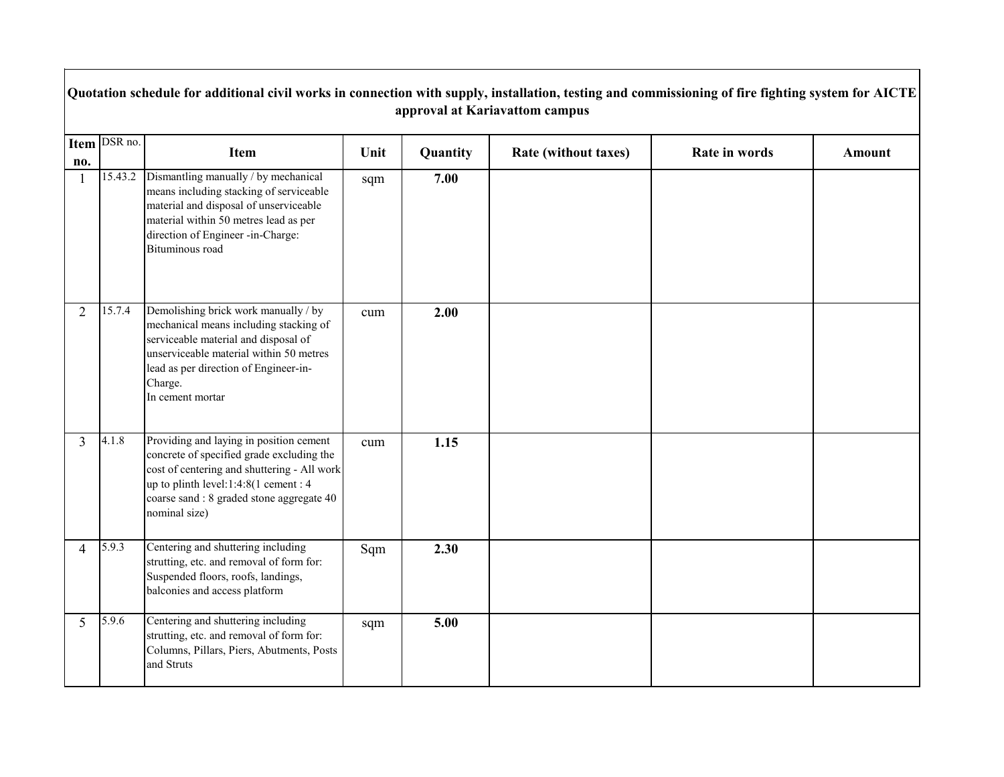|                | Quotation schedule for additional civil works in connection with supply, installation, testing and commissioning of fire fighting system for AICTE<br>approval at Kariavattom campus |                                                                                                                                                                                                                                            |      |          |                      |               |               |  |  |  |  |
|----------------|--------------------------------------------------------------------------------------------------------------------------------------------------------------------------------------|--------------------------------------------------------------------------------------------------------------------------------------------------------------------------------------------------------------------------------------------|------|----------|----------------------|---------------|---------------|--|--|--|--|
| no.            | Item DSR no.                                                                                                                                                                         | Item                                                                                                                                                                                                                                       | Unit | Quantity | Rate (without taxes) | Rate in words | <b>Amount</b> |  |  |  |  |
|                | 15.43.2                                                                                                                                                                              | Dismantling manually / by mechanical<br>means including stacking of serviceable<br>material and disposal of unserviceable<br>material within 50 metres lead as per<br>direction of Engineer -in-Charge:<br>Bituminous road                 | sqm  | 7.00     |                      |               |               |  |  |  |  |
| 2              | 15.7.4                                                                                                                                                                               | Demolishing brick work manually / by<br>mechanical means including stacking of<br>serviceable material and disposal of<br>unserviceable material within 50 metres<br>lead as per direction of Engineer-in-<br>Charge.<br>In cement mortar  | cum  | 2.00     |                      |               |               |  |  |  |  |
| $\overline{3}$ | 4.1.8                                                                                                                                                                                | Providing and laying in position cement<br>concrete of specified grade excluding the<br>cost of centering and shuttering - All work<br>up to plinth level:1:4:8(1 cement : 4<br>coarse sand : 8 graded stone aggregate 40<br>nominal size) | cum  | 1.15     |                      |               |               |  |  |  |  |
| $\overline{4}$ | 5.9.3                                                                                                                                                                                | Centering and shuttering including<br>strutting, etc. and removal of form for:<br>Suspended floors, roofs, landings,<br>balconies and access platform                                                                                      | Sqm  | 2.30     |                      |               |               |  |  |  |  |
| 5              | 5.9.6                                                                                                                                                                                | Centering and shuttering including<br>strutting, etc. and removal of form for:<br>Columns, Pillars, Piers, Abutments, Posts<br>and Struts                                                                                                  | sqm  | 5.00     |                      |               |               |  |  |  |  |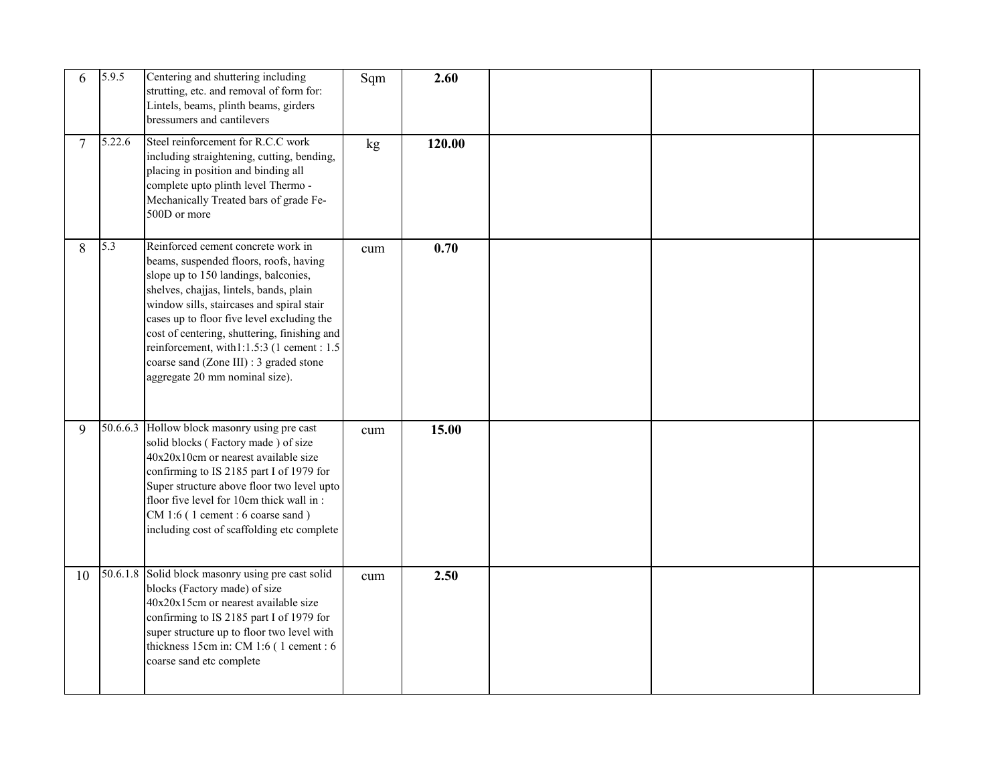| 6  | 5.9.5  | Centering and shuttering including<br>strutting, etc. and removal of form for:<br>Lintels, beams, plinth beams, girders<br>bressumers and cantilevers                                                                                                                                                                                                                                                                                  | Sqm | 2.60   |  |  |
|----|--------|----------------------------------------------------------------------------------------------------------------------------------------------------------------------------------------------------------------------------------------------------------------------------------------------------------------------------------------------------------------------------------------------------------------------------------------|-----|--------|--|--|
| 7  | 5.22.6 | Steel reinforcement for R.C.C work<br>including straightening, cutting, bending,<br>placing in position and binding all<br>complete upto plinth level Thermo -<br>Mechanically Treated bars of grade Fe-<br>500D or more                                                                                                                                                                                                               | kg  | 120.00 |  |  |
| 8  | 5.3    | Reinforced cement concrete work in<br>beams, suspended floors, roofs, having<br>slope up to 150 landings, balconies,<br>shelves, chajjas, lintels, bands, plain<br>window sills, staircases and spiral stair<br>cases up to floor five level excluding the<br>cost of centering, shuttering, finishing and<br>reinforcement, with1:1.5:3 (1 cement : 1.5)<br>coarse sand (Zone III) : 3 graded stone<br>aggregate 20 mm nominal size). | cum | 0.70   |  |  |
| 9  |        | 50.6.6.3 Hollow block masonry using pre cast<br>solid blocks (Factory made) of size<br>40x20x10cm or nearest available size<br>confirming to IS 2185 part I of 1979 for<br>Super structure above floor two level upto<br>floor five level for 10cm thick wall in:<br>CM 1:6 (1 cement : 6 coarse sand)<br>including cost of scaffolding etc complete                                                                                   | cum | 15.00  |  |  |
| 10 |        | 50.6.1.8 Solid block masonry using pre cast solid<br>blocks (Factory made) of size<br>40x20x15cm or nearest available size<br>confirming to IS 2185 part I of 1979 for<br>super structure up to floor two level with<br>thickness 15cm in: CM 1:6 (1 cement : 6<br>coarse sand etc complete                                                                                                                                            | cum | 2.50   |  |  |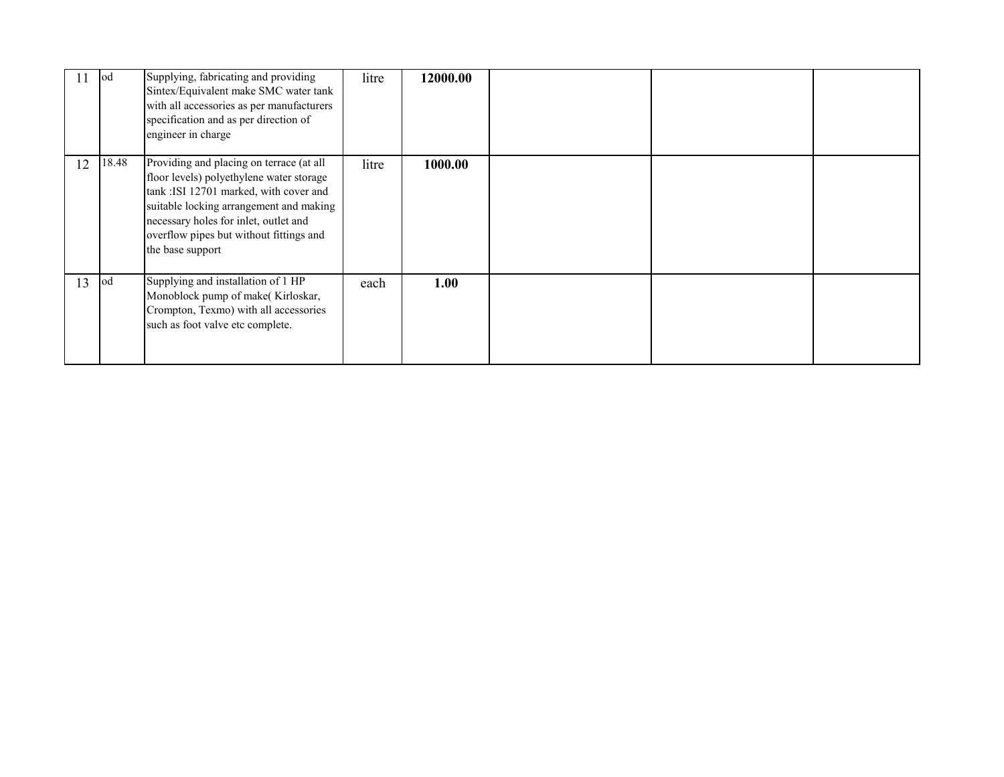|    | lod   | Supplying, fabricating and providing<br>Sintex/Equivalent make SMC water tank<br>with all accessories as per manufacturers<br>specification and as per direction of<br>engineer in charge                                                                                         | litre | 12000.00 |  |  |
|----|-------|-----------------------------------------------------------------------------------------------------------------------------------------------------------------------------------------------------------------------------------------------------------------------------------|-------|----------|--|--|
| 12 | 18.48 | Providing and placing on terrace (at all<br>floor levels) polyethylene water storage<br>tank :ISI 12701 marked, with cover and<br>suitable locking arrangement and making<br>necessary holes for inlet, outlet and<br>overflow pipes but without fittings and<br>the base support | litre | 1000.00  |  |  |
| 13 | lod   | Supplying and installation of 1 HP<br>Monoblock pump of make(Kirloskar,<br>Crompton, Texmo) with all accessories<br>such as foot valve etc complete.                                                                                                                              | each  | 1.00     |  |  |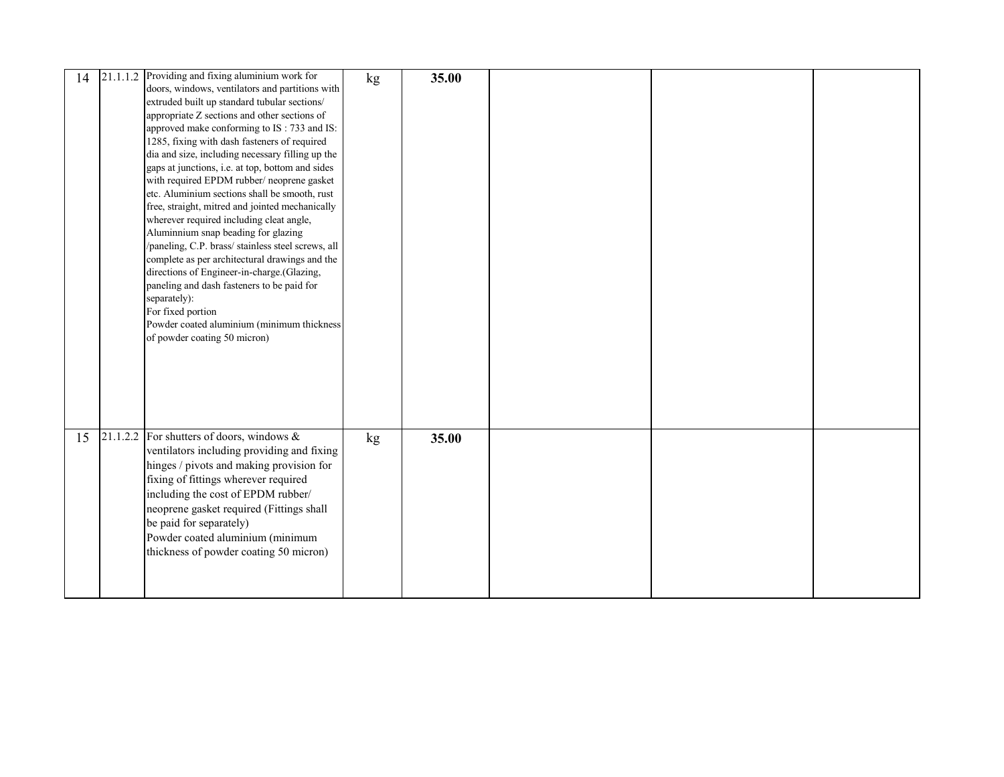| 14 | $21.1.1.2$ Providing and fixing aluminium work for | kg | 35.00 |  |  |
|----|----------------------------------------------------|----|-------|--|--|
|    | doors, windows, ventilators and partitions with    |    |       |  |  |
|    | extruded built up standard tubular sections/       |    |       |  |  |
|    | appropriate Z sections and other sections of       |    |       |  |  |
|    | approved make conforming to IS: 733 and IS:        |    |       |  |  |
|    | 1285, fixing with dash fasteners of required       |    |       |  |  |
|    | dia and size, including necessary filling up the   |    |       |  |  |
|    | gaps at junctions, i.e. at top, bottom and sides   |    |       |  |  |
|    | with required EPDM rubber/ neoprene gasket         |    |       |  |  |
|    | etc. Aluminium sections shall be smooth, rust      |    |       |  |  |
|    | free, straight, mitred and jointed mechanically    |    |       |  |  |
|    | wherever required including cleat angle,           |    |       |  |  |
|    | Aluminnium snap beading for glazing                |    |       |  |  |
|    | /paneling, C.P. brass/ stainless steel screws, all |    |       |  |  |
|    | complete as per architectural drawings and the     |    |       |  |  |
|    | directions of Engineer-in-charge.(Glazing,         |    |       |  |  |
|    | paneling and dash fasteners to be paid for         |    |       |  |  |
|    | separately):                                       |    |       |  |  |
|    | For fixed portion                                  |    |       |  |  |
|    | Powder coated aluminium (minimum thickness         |    |       |  |  |
|    | of powder coating 50 micron)                       |    |       |  |  |
|    |                                                    |    |       |  |  |
|    |                                                    |    |       |  |  |
|    |                                                    |    |       |  |  |
|    |                                                    |    |       |  |  |
|    |                                                    |    |       |  |  |
|    |                                                    |    |       |  |  |
|    | 21.1.2.2 For shutters of doors, windows $\&$       |    |       |  |  |
| 15 |                                                    | kg | 35.00 |  |  |
|    | ventilators including providing and fixing         |    |       |  |  |
|    | hinges / pivots and making provision for           |    |       |  |  |
|    | fixing of fittings wherever required               |    |       |  |  |
|    | including the cost of EPDM rubber/                 |    |       |  |  |
|    | neoprene gasket required (Fittings shall           |    |       |  |  |
|    | be paid for separately)                            |    |       |  |  |
|    | Powder coated aluminium (minimum                   |    |       |  |  |
|    | thickness of powder coating 50 micron)             |    |       |  |  |
|    |                                                    |    |       |  |  |
|    |                                                    |    |       |  |  |
|    |                                                    |    |       |  |  |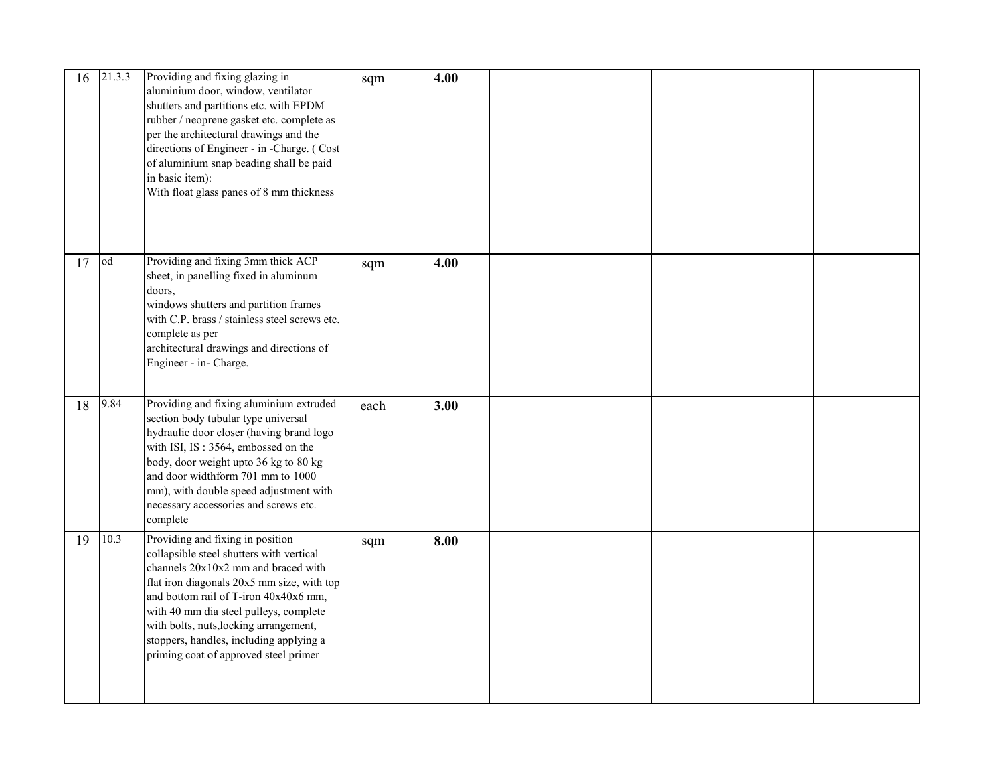| 16 | 21.3.3 | Providing and fixing glazing in<br>aluminium door, window, ventilator<br>shutters and partitions etc. with EPDM<br>rubber / neoprene gasket etc. complete as<br>per the architectural drawings and the<br>directions of Engineer - in -Charge. (Cost<br>of aluminium snap beading shall be paid<br>in basic item):<br>With float glass panes of 8 mm thickness                     | sqm  | 4.00 |  |  |
|----|--------|------------------------------------------------------------------------------------------------------------------------------------------------------------------------------------------------------------------------------------------------------------------------------------------------------------------------------------------------------------------------------------|------|------|--|--|
| 17 | od     | Providing and fixing 3mm thick ACP                                                                                                                                                                                                                                                                                                                                                 | sqm  | 4.00 |  |  |
|    |        | sheet, in panelling fixed in aluminum<br>doors,<br>windows shutters and partition frames<br>with C.P. brass / stainless steel screws etc.<br>complete as per<br>architectural drawings and directions of<br>Engineer - in- Charge.                                                                                                                                                 |      |      |  |  |
| 18 | 9.84   | Providing and fixing aluminium extruded<br>section body tubular type universal<br>hydraulic door closer (having brand logo<br>with ISI, IS: 3564, embossed on the<br>body, door weight upto 36 kg to 80 kg<br>and door widthform 701 mm to 1000<br>mm), with double speed adjustment with<br>necessary accessories and screws etc.<br>complete                                     | each | 3.00 |  |  |
| 19 | 10.3   | Providing and fixing in position<br>collapsible steel shutters with vertical<br>channels 20x10x2 mm and braced with<br>flat iron diagonals 20x5 mm size, with top<br>and bottom rail of T-iron 40x40x6 mm,<br>with 40 mm dia steel pulleys, complete<br>with bolts, nuts, locking arrangement,<br>stoppers, handles, including applying a<br>priming coat of approved steel primer | sqm  | 8.00 |  |  |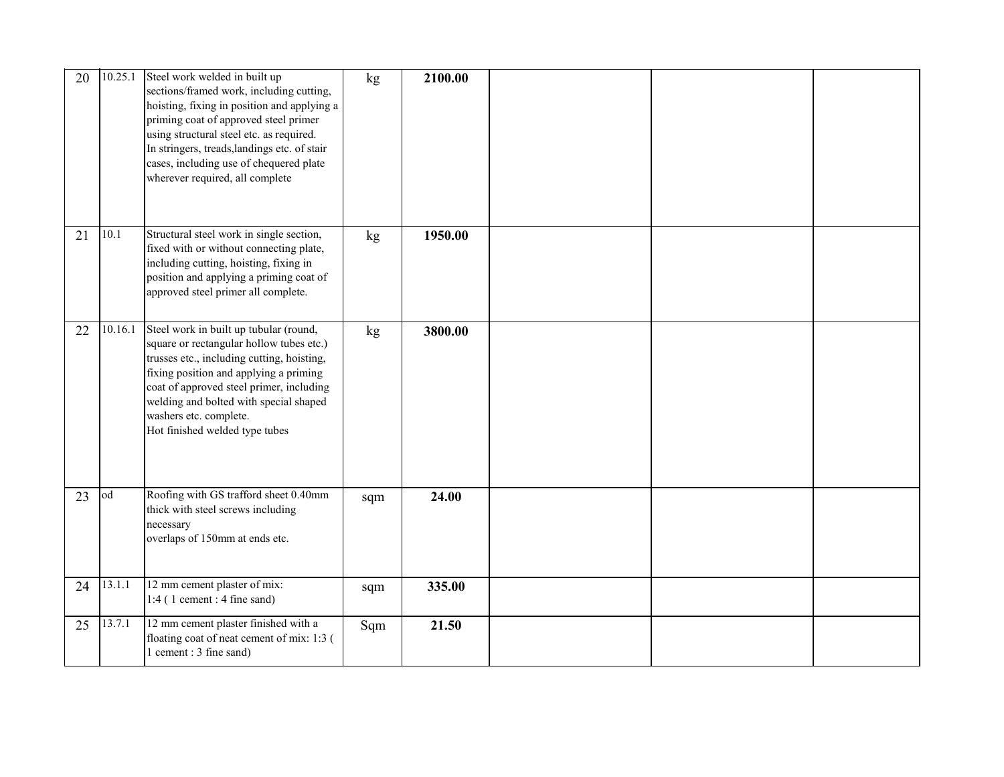| 20 | 10.25.1 | Steel work welded in built up<br>sections/framed work, including cutting,<br>hoisting, fixing in position and applying a<br>priming coat of approved steel primer<br>using structural steel etc. as required.<br>In stringers, treads, landings etc. of stair<br>cases, including use of chequered plate<br>wherever required, all complete | kg  | 2100.00 |  |  |
|----|---------|---------------------------------------------------------------------------------------------------------------------------------------------------------------------------------------------------------------------------------------------------------------------------------------------------------------------------------------------|-----|---------|--|--|
| 21 | 10.1    | Structural steel work in single section,<br>fixed with or without connecting plate,<br>including cutting, hoisting, fixing in<br>position and applying a priming coat of<br>approved steel primer all complete.                                                                                                                             | kg  | 1950.00 |  |  |
| 22 | 10.16.1 | Steel work in built up tubular (round,<br>square or rectangular hollow tubes etc.)<br>trusses etc., including cutting, hoisting,<br>fixing position and applying a priming<br>coat of approved steel primer, including<br>welding and bolted with special shaped<br>washers etc. complete.<br>Hot finished welded type tubes                | kg  | 3800.00 |  |  |
| 23 | od      | Roofing with GS trafford sheet 0.40mm<br>thick with steel screws including<br>necessary<br>overlaps of 150mm at ends etc.                                                                                                                                                                                                                   | sqm | 24.00   |  |  |
| 24 | 13.1.1  | 12 mm cement plaster of mix:<br>$1:4$ (1 cement : 4 fine sand)                                                                                                                                                                                                                                                                              | sqm | 335.00  |  |  |
| 25 | 13.7.1  | 12 mm cement plaster finished with a<br>floating coat of neat cement of mix: 1:3 (<br>1 cement: 3 fine sand)                                                                                                                                                                                                                                | Sqm | 21.50   |  |  |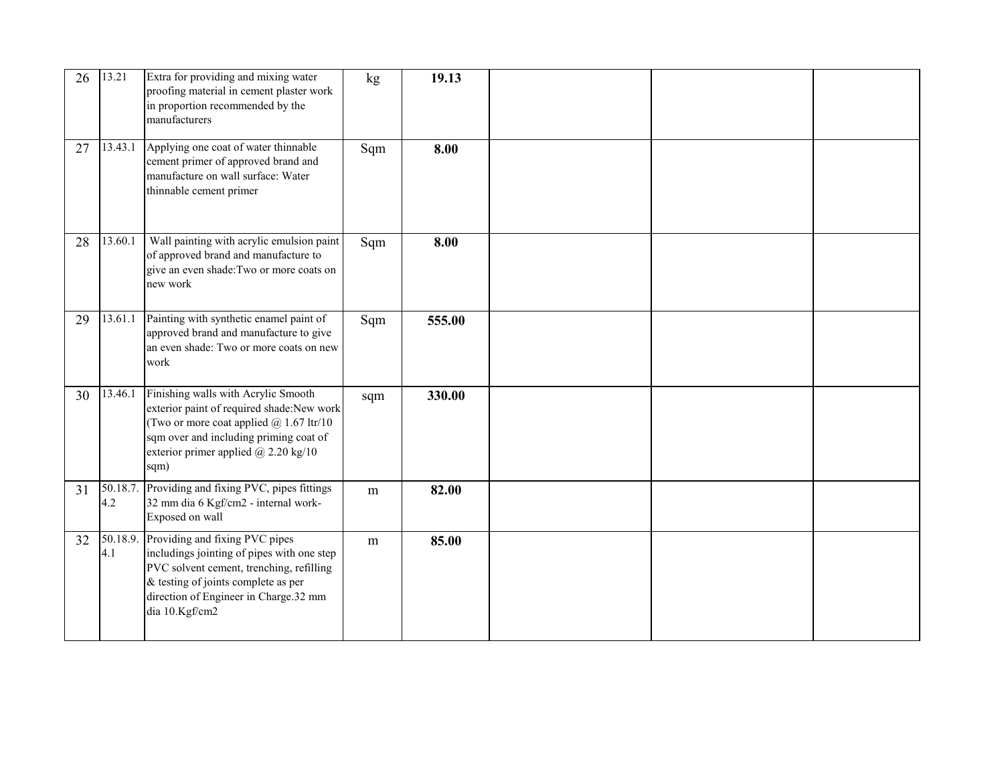| 26 | 13.21           | Extra for providing and mixing water<br>proofing material in cement plaster work<br>in proportion recommended by the<br>manufacturers                                                                                                  | kg  | 19.13  |  |  |
|----|-----------------|----------------------------------------------------------------------------------------------------------------------------------------------------------------------------------------------------------------------------------------|-----|--------|--|--|
| 27 |                 | 13.43.1 Applying one coat of water thinnable<br>cement primer of approved brand and<br>manufacture on wall surface: Water<br>thinnable cement primer                                                                                   | Sqm | 8.00   |  |  |
| 28 | 13.60.1         | Wall painting with acrylic emulsion paint<br>of approved brand and manufacture to<br>give an even shade: Two or more coats on<br>new work                                                                                              | Sqm | 8.00   |  |  |
| 29 | 13.61.1         | Painting with synthetic enamel paint of<br>approved brand and manufacture to give<br>an even shade: Two or more coats on new<br>work                                                                                                   | Sqm | 555.00 |  |  |
| 30 | 13.46.1         | Finishing walls with Acrylic Smooth<br>exterior paint of required shade:New work<br>(Two or more coat applied $@$ 1.67 ltr/10<br>sqm over and including priming coat of<br>exterior primer applied @ 2.20 kg/10<br>sqm)                | sqm | 330.00 |  |  |
| 31 | 50.18.7.<br>4.2 | Providing and fixing PVC, pipes fittings<br>32 mm dia 6 Kgf/cm2 - internal work-<br>Exposed on wall                                                                                                                                    | m   | 82.00  |  |  |
| 32 | 4.1             | 50.18.9. Providing and fixing PVC pipes<br>includings jointing of pipes with one step<br>PVC solvent cement, trenching, refilling<br>$\&$ testing of joints complete as per<br>direction of Engineer in Charge.32 mm<br>dia 10.Kgf/cm2 | m   | 85.00  |  |  |